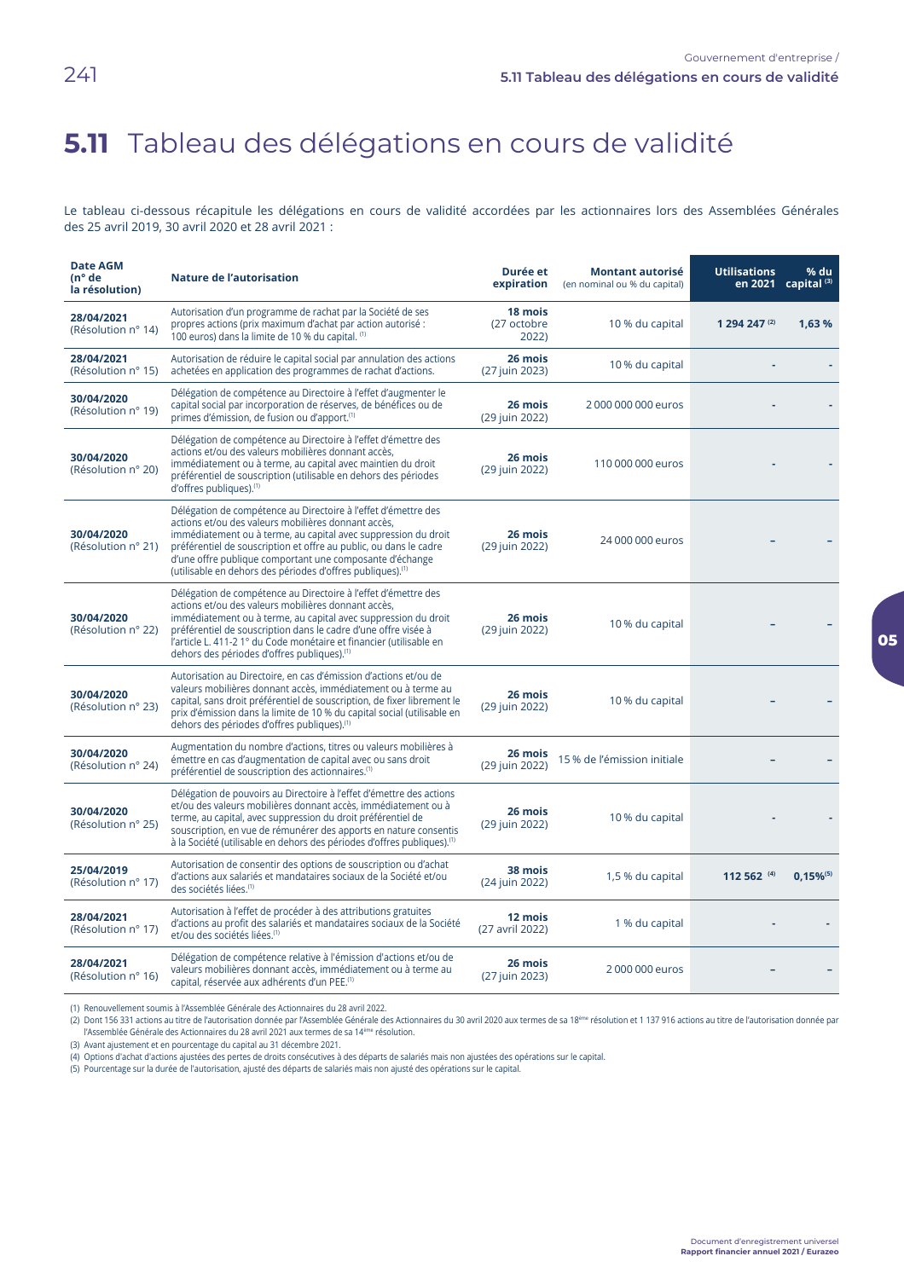## 5.11 Tableau des délégations en cours de validité

Le tableau ci-dessous récapitule les délégations en cours de validité accordées par les actionnaires lors des Assemblées Générales des 25 avril 2019, 30 avril 2020 et 28 avril 2021 :

| <b>Date AGM</b><br>$(n^{\circ}$ de<br>la résolution) | <b>Nature de l'autorisation</b>                                                                                                                                                                                                                                                                                                                                                                    | Durée et<br>expiration          | <b>Montant autorisé</b><br>(en nominal ou % du capital) | <b>Utilisations</b><br>en 2021 | $%$ du<br>capital <sup>(3)</sup> |
|------------------------------------------------------|----------------------------------------------------------------------------------------------------------------------------------------------------------------------------------------------------------------------------------------------------------------------------------------------------------------------------------------------------------------------------------------------------|---------------------------------|---------------------------------------------------------|--------------------------------|----------------------------------|
| 28/04/2021<br>(Résolution nº 14)                     | Autorisation d'un programme de rachat par la Société de ses<br>propres actions (prix maximum d'achat par action autorisé :<br>100 euros) dans la limite de 10 % du capital. (1)                                                                                                                                                                                                                    | 18 mois<br>(27 octobre<br>2022) | 10 % du capital                                         | 1 294 247 (2)                  | 1.63%                            |
| 28/04/2021<br>(Résolution n° 15)                     | Autorisation de réduire le capital social par annulation des actions<br>achetées en application des programmes de rachat d'actions.                                                                                                                                                                                                                                                                | 26 mois<br>(27 juin 2023)       | 10 % du capital                                         |                                |                                  |
| 30/04/2020<br>(Résolution nº 19)                     | Délégation de compétence au Directoire à l'effet d'augmenter le<br>capital social par incorporation de réserves, de bénéfices ou de<br>primes d'émission, de fusion ou d'apport. <sup>(1)</sup>                                                                                                                                                                                                    | 26 mois<br>(29 juin 2022)       | 2000 000 000 euros                                      |                                |                                  |
| 30/04/2020<br>(Résolution n° 20)                     | Délégation de compétence au Directoire à l'effet d'émettre des<br>actions et/ou des valeurs mobilières donnant accès.<br>immédiatement ou à terme, au capital avec maintien du droit<br>préférentiel de souscription (utilisable en dehors des périodes<br>d'offres publiques).(1)                                                                                                                 | 26 mois<br>(29 juin 2022)       | 110 000 000 euros                                       |                                |                                  |
| 30/04/2020<br>(Résolution nº 21)                     | Délégation de compétence au Directoire à l'effet d'émettre des<br>actions et/ou des valeurs mobilières donnant accès,<br>immédiatement ou à terme, au capital avec suppression du droit<br>préférentiel de souscription et offre au public, ou dans le cadre<br>d'une offre publique comportant une composante d'échange<br>(utilisable en dehors des périodes d'offres publiques). <sup>(1)</sup> | 26 mois<br>(29 juin 2022)       | 24 000 000 euros                                        |                                |                                  |
| 30/04/2020<br>(Résolution nº 22)                     | Délégation de compétence au Directoire à l'effet d'émettre des<br>actions et/ou des valeurs mobilières donnant accès,<br>immédiatement ou à terme, au capital avec suppression du droit<br>préférentiel de souscription dans le cadre d'une offre visée à<br>l'article L. 411-2 1° du Code monétaire et financier (utilisable en<br>dehors des périodes d'offres publiques). <sup>(1)</sup>        | 26 mois<br>(29 juin 2022)       | 10 % du capital                                         |                                |                                  |
| 30/04/2020<br>(Résolution nº 23)                     | Autorisation au Directoire, en cas d'émission d'actions et/ou de<br>valeurs mobilières donnant accès, immédiatement ou à terme au<br>capital, sans droit préférentiel de souscription, de fixer librement le<br>prix d'émission dans la limite de 10 % du capital social (utilisable en<br>dehors des périodes d'offres publiques). <sup>(1)</sup>                                                 | 26 mois<br>(29 juin 2022)       | 10 % du capital                                         |                                |                                  |
| 30/04/2020<br>(Résolution nº 24)                     | Augmentation du nombre d'actions, titres ou valeurs mobilières à<br>émettre en cas d'augmentation de capital avec ou sans droit<br>préférentiel de souscription des actionnaires. <sup>(1)</sup>                                                                                                                                                                                                   | 26 mois<br>(29 juin 2022)       | 15 % de l'émission initiale                             |                                |                                  |
| 30/04/2020<br>(Résolution nº 25)                     | Délégation de pouvoirs au Directoire à l'effet d'émettre des actions<br>et/ou des valeurs mobilières donnant accès, immédiatement ou à<br>terme, au capital, avec suppression du droit préférentiel de<br>souscription, en vue de rémunérer des apports en nature consentis<br>à la Société (utilisable en dehors des périodes d'offres publiques). <sup>(1)</sup>                                 | 26 mois<br>(29 juin 2022)       | 10 % du capital                                         |                                |                                  |
| 25/04/2019<br>(Résolution nº 17)                     | Autorisation de consentir des options de souscription ou d'achat<br>d'actions aux salariés et mandataires sociaux de la Société et/ou<br>des sociétés liées. <sup>(1)</sup>                                                                                                                                                                                                                        | 38 mois<br>(24 juin 2022)       | 1,5 % du capital                                        | 112 562 (4)                    | $0.15\%$ <sup>(5)</sup>          |
| 28/04/2021<br>(Résolution nº 17)                     | Autorisation à l'effet de procéder à des attributions gratuites<br>d'actions au profit des salariés et mandataires sociaux de la Société<br>et/ou des sociétés liées. <sup>(1)</sup>                                                                                                                                                                                                               | 12 mois<br>(27 avril 2022)      | 1 % du capital                                          |                                |                                  |
| 28/04/2021<br>(Résolution nº 16)                     | Délégation de compétence relative à l'émission d'actions et/ou de<br>valeurs mobilières donnant accès, immédiatement ou à terme au<br>capital, réservée aux adhérents d'un PEE. <sup>(1)</sup>                                                                                                                                                                                                     | 26 mois<br>(27 juin 2023)       | 2000 000 euros                                          |                                |                                  |

(1) Renouvellement soumis à l'Assemblée Générale des Actionnaires du 28 avril 2022.

(2) Dont 156 331 actions au titre de l'autorisation donnée par l'Assemblée Générale des Actionnaires du 30 avril 2020 aux termes de sa 18<sup>ème</sup> résolution et 1 137 916 actions au titre de l'autorisation donnée par l'Assemblée Générale des Actionnaires du 28 avril 2021 aux termes de sa 14<sup>ème</sup> résolution.

(3) Avant ajustement et en pourcentage du capital au 31 décembre 2021.

(4) Options d'achat d'actions ajustées des pertes de droits consécutives à des départs de salariés mais non ajustées des opérations sur le capital.

(5) Pourcentage sur la durée de l'autorisation, ajusté des départs de salariés mais non ajusté des opérations sur le capital.